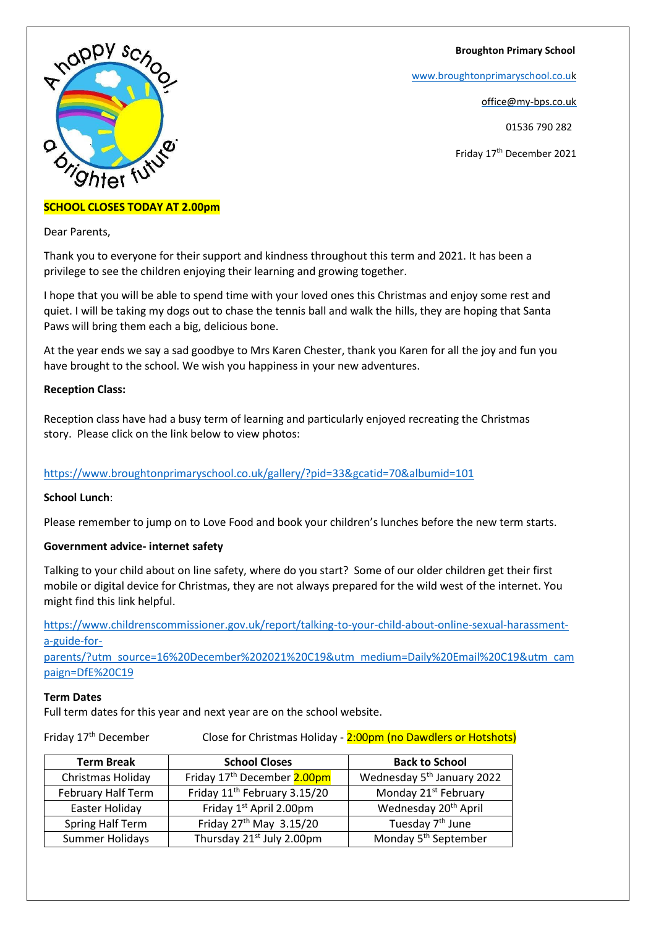#### **Broughton Primary School**

[www.broughtonprimaryschool.co.u](http://www.broughtonprimaryschool.co.u/)[k](http://www.broughtonprimaryschool.co.uk/)

office@my-bps.co.uk

01536 790 282

Friday 17th December 2021

# **SCHOOL CLOSES TODAY AT 2.00pm**

Dear Parents,

Thank you to everyone for their support and kindness throughout this term and 2021. It has been a privilege to see the children enjoying their learning and growing together.

I hope that you will be able to spend time with your loved ones this Christmas and enjoy some rest and quiet. I will be taking my dogs out to chase the tennis ball and walk the hills, they are hoping that Santa Paws will bring them each a big, delicious bone.

At the year ends we say a sad goodbye to Mrs Karen Chester, thank you Karen for all the joy and fun you have brought to the school. We wish you happiness in your new adventures.

#### **Reception Class:**

Reception class have had a busy term of learning and particularly enjoyed recreating the Christmas story. Please click on the link below to view photos:

## <https://www.broughtonprimaryschool.co.uk/gallery/?pid=33&gcatid=70&albumid=101>

## **School Lunch**:

Please remember to jump on to Love Food and book your children's lunches before the new term starts.

## **Government advice- internet safety**

Talking to your child about on line safety, where do you start? Some of our older children get their first mobile or digital device for Christmas, they are not always prepared for the wild west of the internet. You might find this link helpful.

[https://www.childrenscommissioner.gov.uk/report/talking-to-your-child-about-online-sexual-harassment](https://www.childrenscommissioner.gov.uk/report/talking-to-your-child-about-online-sexual-harassment-a-guide-for-parents/?utm_source=16%20December%202021%20C19&utm_medium=Daily%20Email%20C19&utm_campaign=DfE%20C19)[a-guide-for-](https://www.childrenscommissioner.gov.uk/report/talking-to-your-child-about-online-sexual-harassment-a-guide-for-parents/?utm_source=16%20December%202021%20C19&utm_medium=Daily%20Email%20C19&utm_campaign=DfE%20C19)

[parents/?utm\\_source=16%20December%202021%20C19&utm\\_medium=Daily%20Email%20C19&utm\\_cam](https://www.childrenscommissioner.gov.uk/report/talking-to-your-child-about-online-sexual-harassment-a-guide-for-parents/?utm_source=16%20December%202021%20C19&utm_medium=Daily%20Email%20C19&utm_campaign=DfE%20C19) [paign=DfE%20C19](https://www.childrenscommissioner.gov.uk/report/talking-to-your-child-about-online-sexual-harassment-a-guide-for-parents/?utm_source=16%20December%202021%20C19&utm_medium=Daily%20Email%20C19&utm_campaign=DfE%20C19)

#### **Term Dates**

Full term dates for this year and next year are on the school website.

Friday 17<sup>th</sup> December Close for Christmas Holiday - 2:00pm (no Dawdlers or Hotshots)

| <b>Term Break</b>       | <b>School Closes</b>                     | <b>Back to School</b>                  |
|-------------------------|------------------------------------------|----------------------------------------|
| Christmas Holiday       | Friday 17 <sup>th</sup> December 2.00pm  | Wednesday 5 <sup>th</sup> January 2022 |
| February Half Term      | Friday 11 <sup>th</sup> February 3.15/20 | Monday 21 <sup>st</sup> February       |
| Easter Holiday          | Friday 1 <sup>st</sup> April 2.00pm      | Wednesday 20 <sup>th</sup> April       |
| <b>Spring Half Term</b> | Friday 27 <sup>th</sup> May 3.15/20      | Tuesday 7 <sup>th</sup> June           |
| Summer Holidays         | Thursday 21 <sup>st</sup> July 2.00pm    | Monday 5 <sup>th</sup> September       |